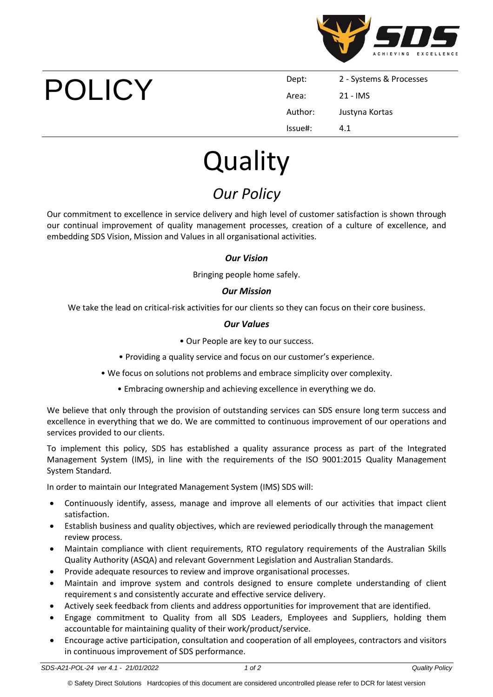

# POLICY

| Dept:   | 2 - Systems & Processes |
|---------|-------------------------|
| Area:   | 21 - IMS                |
| Author: | Justyna Kortas          |
| lssue#: | 4.1                     |

## **Quality**

### *Our Policy*

Our commitment to excellence in service delivery and high level of customer satisfaction is shown through our continual improvement of quality management processes, creation of a culture of excellence, and embedding SDS Vision, Mission and Values in all organisational activities.

#### *Our Vision*

Bringing people home safely.

#### *Our Mission*

We take the lead on critical-risk activities for our clients so they can focus on their core business.

#### *Our Values*

- Our People are key to our success.
- Providing a quality service and focus on our customer's experience.
- We focus on solutions not problems and embrace simplicity over complexity.
	- Embracing ownership and achieving excellence in everything we do.

We believe that only through the provision of outstanding services can SDS ensure long term success and excellence in everything that we do. We are committed to continuous improvement of our operations and services provided to our clients.

To implement this policy, SDS has established a quality assurance process as part of the Integrated Management System (IMS), in line with the requirements of the ISO 9001:2015 Quality Management System Standard.

In order to maintain our Integrated Management System (IMS) SDS will:

- Continuously identify, assess, manage and improve all elements of our activities that impact client satisfaction.
- Establish business and quality objectives, which are reviewed periodically through the management review process.
- Maintain compliance with client requirements, RTO regulatory requirements of the Australian Skills Quality Authority (ASQA) and relevant Government Legislation and Australian Standards.
- Provide adequate resources to review and improve organisational processes.
- Maintain and improve system and controls designed to ensure complete understanding of client requirement s and consistently accurate and effective service delivery.
- Actively seek feedback from clients and address opportunities for improvement that are identified.
- Engage commitment to Quality from all SDS Leaders, Employees and Suppliers, holding them accountable for maintaining quality of their work/product/service.
- Encourage active participation, consultation and cooperation of all employees, contractors and visitors in continuous improvement of SDS performance.